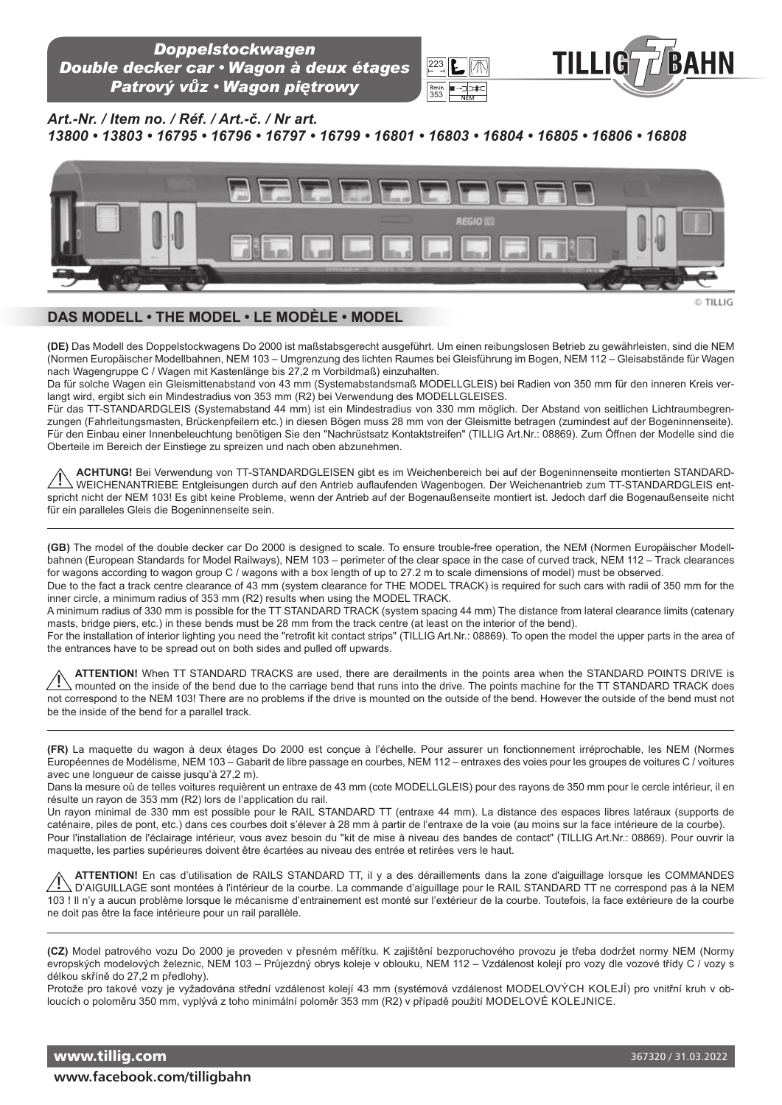

*Art.-Nr. / Item no. / Réf. / Art.-č. / Nr art.* 

*13800 • 13803 • 16795 • 16796 • 16797 • 16799 • 16801 • 16803 • 16804 • 16805 • 16806 • 16808*



223

353

## **DAS MODELL • THE MODEL • LE MODÈLE • MODEL**

**(DE)** Das Modell des Doppelstockwagens Do 2000 ist maßstabsgerecht ausgeführt. Um einen reibungslosen Betrieb zu gewährleisten, sind die NEM (Normen Europäischer Modellbahnen, NEM 103 – Umgrenzung des lichten Raumes bei Gleisführung im Bogen, NEM 112 – Gleisabstände für Wagen nach Wagengruppe C / Wagen mit Kastenlänge bis 27,2 m Vorbildmaß) einzuhalten.

Da für solche Wagen ein Gleismittenabstand von 43 mm (Systemabstandsmaß MODELLGLEIS) bei Radien von 350 mm für den inneren Kreis verlangt wird, ergibt sich ein Mindestradius von 353 mm (R2) bei Verwendung des MODELLGLEISES.

Für das TT-STANDARDGLEIS (Systemabstand 44 mm) ist ein Mindestradius von 330 mm möglich. Der Abstand von seitlichen Lichtraumbegrenzungen (Fahrleitungsmasten, Brückenpfeilern etc.) in diesen Bögen muss 28 mm von der Gleismitte betragen (zumindest auf der Bogeninnenseite). Für den Einbau einer Innenbeleuchtung benötigen Sie den "Nachrüstsatz Kontaktstreifen" (TILLIG Art.Nr.: 08869). Zum Öffnen der Modelle sind die Oberteile im Bereich der Einstiege zu spreizen und nach oben abzunehmen.

**ACHTUNG!** Bei Verwendung von TT-STANDARDGLEISEN gibt es im Weichenbereich bei auf der Bogeninnenseite montierten STANDARD-WEICHENANTRIEBE Entgleisungen durch auf den Antrieb auflaufenden Wagenbogen. Der Weichenantrieb zum TT-STANDARDGLEIS entspricht nicht der NEM 103! Es gibt keine Probleme, wenn der Antrieb auf der Bogenaußenseite montiert ist. Jedoch darf die Bogenaußenseite nicht für ein paralleles Gleis die Bogeninnenseite sein. **!**

**(GB)** The model of the double decker car Do 2000 is designed to scale. To ensure trouble-free operation, the NEM (Normen Europäischer Modellbahnen (European Standards for Model Railways), NEM 103 – perimeter of the clear space in the case of curved track, NEM 112 – Track clearances for wagons according to wagon group C / wagons with a box length of up to 27.2 m to scale dimensions of model) must be observed.

Due to the fact a track centre clearance of 43 mm (system clearance for THE MODEL TRACK) is required for such cars with radii of 350 mm for the inner circle, a minimum radius of 353 mm (R2) results when using the MODEL TRACK.

A minimum radius of 330 mm is possible for the TT STANDARD TRACK (system spacing 44 mm) The distance from lateral clearance limits (catenary masts, bridge piers, etc.) in these bends must be 28 mm from the track centre (at least on the interior of the bend).

For the installation of interior lighting you need the "retrofit kit contact strips" (TILLIG Art.Nr.: 08869). To open the model the upper parts in the area of the entrances have to be spread out on both sides and pulled off upwards.

**ATTENTION!** When TT STANDARD TRACKS are used, there are derailments in the points area when the STANDARD POINTS DRIVE is mounted on the inside of the bend due to the carriage bend that runs into the drive. The points machine for the TT STANDARD TRACK does not correspond to the NEM 103! There are no problems if the drive is mounted on the outside of the bend. However the outside of the bend must not be the inside of the bend for a parallel track. **!**

**(FR)** La maquette du wagon à deux étages Do 2000 est conçue à l'échelle. Pour assurer un fonctionnement irréprochable, les NEM (Normes Européennes de Modélisme, NEM 103 – Gabarit de libre passage en courbes, NEM 112 – entraxes des voies pour les groupes de voitures C / voitures avec une longueur de caisse jusqu'à 27,2 m).

Dans la mesure où de telles voitures requièrent un entraxe de 43 mm (cote MODELLGLEIS) pour des rayons de 350 mm pour le cercle intérieur, il en résulte un rayon de 353 mm (R2) lors de l'application du rail.

Un rayon minimal de 330 mm est possible pour le RAIL STANDARD TT (entraxe 44 mm). La distance des espaces libres latéraux (supports de caténaire, piles de pont, etc.) dans ces courbes doit s'élever à 28 mm à partir de l'entraxe de la voie (au moins sur la face intérieure de la courbe). Pour l'installation de l'éclairage intérieur, vous avez besoin du "kit de mise à niveau des bandes de contact" (TILLIG Art.Nr.: 08869). Pour ouvrir la maquette, les parties supérieures doivent être écartées au niveau des entrée et retirées vers le haut.

**ATTENTION!** En cas d'utilisation de RAILS STANDARD TT, il y a des déraillements dans la zone d'aiguillage lorsque les COMMANDES D'AIGUILLAGE sont montées à l'intérieur de la courbe. La commande d'aiguillage pour le RAIL STANDARD TT ne correspond pas à la NEM 103 ! Il n'y a aucun problème lorsque le mécanisme d'entrainement est monté sur l'extérieur de la courbe. Toutefois, la face extérieure de la courbe ne doit pas être la face intérieure pour un rail parallèle. **!**

**(CZ)** Model patrového vozu Do 2000 je proveden v přesném měřítku. K zajištění bezporuchového provozu je třeba dodržet normy NEM (Normy evropských modelových železnic, NEM 103 – Průjezdný obrys koleje v oblouku, NEM 112 – Vzdálenost kolejí pro vozy dle vozové třídy C / vozy s délkou skříně do 27,2 m předlohy).

Protože pro takové vozy je vyžadována střední vzdálenost kolejí 43 mm (systémová vzdálenost MODELOVýCH KOLEJí) pro vnitřní kruh v obloucích o poloměru 350 mm, vyplývá z toho minimální poloměr 353 mm (R2) v případě použití MODELOVé KOLEJNICE.

www.tillig.com **www.facebook.com/tilligbahn**